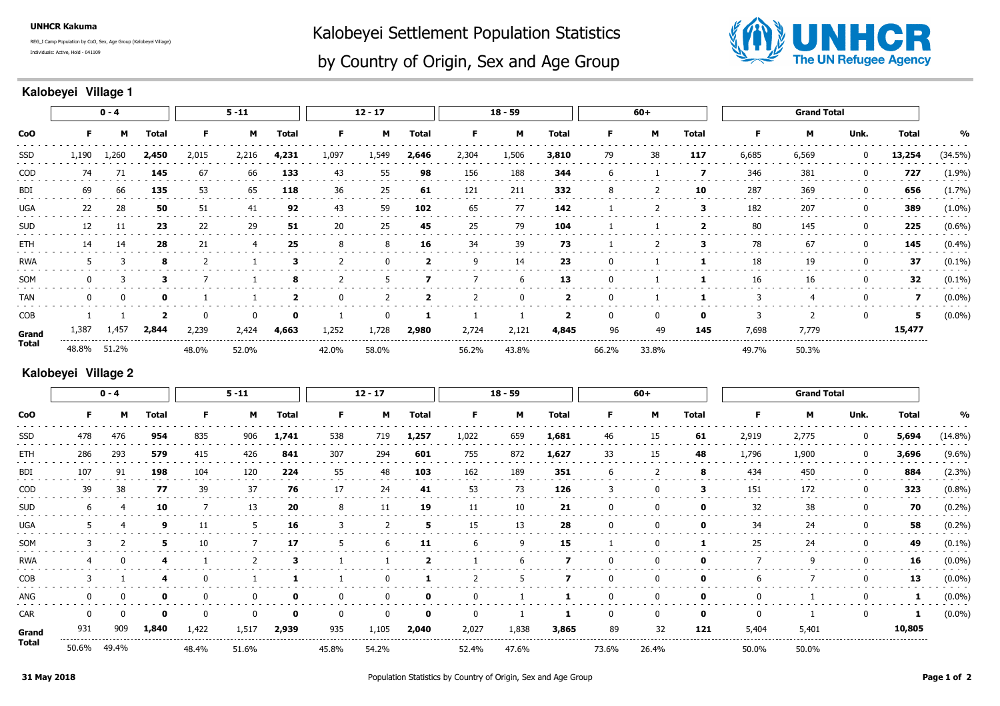**UNHCR Kakuma**

Individuals: Active, Hold - 041109REG\_I Camp Population by CoO, Sex, Age Group (Kalobeyei Village) Kalobeyei Settlement Population Statistics



## by Country of Origin, Sex and Age Group

## **Kalobeyei Village 1**

|            | $0 - 4$ |       |       | $5 - 11$ |                |             | $12 - 17$ |       |       | $18 - 59$ |          |                | $60+$    |                    |              | <b>Grand Total</b>  |       |          |        |            |
|------------|---------|-------|-------|----------|----------------|-------------|-----------|-------|-------|-----------|----------|----------------|----------|--------------------|--------------|---------------------|-------|----------|--------|------------|
| CoO        |         | м     | Total | F.       | м              | Total       | F         | м     | Total |           | м        | <b>Total</b>   | F.       | м                  | <b>Total</b> |                     | М     | Unk.     | Total  | %          |
| SSD        | 1,190   | 1,260 | 2,450 | 2,015    | 2,216          | 4,231       | 1,097     | 1,549 | 2,646 | 2,304     | 1,506    | 3,810          | 79       | 38                 | 117          | 6,685               | 6,569 | 0        | 13,254 | $(34.5\%)$ |
| COD        | 74      | 71    | 145   | 67       | 66             | 133         | 43        | 55    | 98    | 156       | 188      | 344            | 6        |                    |              | 346                 | 381   | 0        | 727    | (1.9%)     |
| BDI        | 69      | 66    | 135   | 53       | 65             | 118         | 36        | 25    | 61    | 121       | 211      | 332            | 8        |                    | 10           | 287                 | 369   | 0        | 656    | (1.7%)     |
| <b>UGA</b> | 22      | 28    | 50    | 51       | 41             | 92          | 43        | 59    | 102   | 65        | 77       | 142            |          |                    | 3            | 182                 | 207   | 0        | 389    | $(1.0\%)$  |
| <b>SUD</b> | 12      | 11    | 23    | 22       | 29             | 51          | 20        | 25    | 45    | 25        | 79       | 104            |          |                    | $\mathbf{2}$ | 80                  | 145   | $\bf{0}$ | 225    | $(0.6\%)$  |
| <b>ETH</b> | 14      | 14    | 28    | 21       | $\overline{4}$ | 25          | 8         | 8     | 16    | 34        | 39       | 73             |          |                    | з            | 78                  | 67    | 0        | 145    | (0.4%      |
| <b>RWA</b> |         |       | 8     |          |                | 3           |           |       | 2     | 9         | 14       | 23             | -0       |                    |              | 18                  | 19    | 0        | 37     | $(0.1\%)$  |
| SOM        |         |       | -3    |          |                | 8           | 2         | 5     |       |           | -6       | 13             | 0        |                    |              | 16                  | 16    | 0        | 32     | $(0.1\%)$  |
| <b>TAN</b> |         |       | 0     |          |                |             | 0         |       | 2     |           | $\Omega$ |                | $\Omega$ |                    |              | 3                   | 4     |          |        | $(0.0\%)$  |
| COB        |         |       |       | 0        | 0              | $\mathbf 0$ |           |       | 1     |           |          | $\overline{2}$ | 0        | 0                  | $\mathbf 0$  | 3                   | 2     | 0        | 5      | $(0.0\%)$  |
| Grand      | 1,387   | 1,457 | 2,844 | 2,239    | 2,424          | 4,663       | 1,252     | 1,728 | 2,980 | 2,724     | 2,121    | 4,845          | 96       | 49                 | 145          | 7,698               | 7,779 |          | 15,477 |            |
| Total      | 48.8%   | 51.2% |       | 48.0%    | 52.0%          |             | 42.0%     | 58.0% |       | 56.2%     | 43.8%    |                | 66.2%    | ---------<br>33.8% | .            | ----------<br>49.7% | 50.3% |          |        |            |

## **Kalobeyei Village 2**

| <b>CoO</b>   | $0 - 4$ |          |       | $5 - 11$ |          |              | $12 - 17$ |              |              | $18 - 59$ |       |              | $60+$ |       |              | <b>Grand Total</b> |       |             |        |            |
|--------------|---------|----------|-------|----------|----------|--------------|-----------|--------------|--------------|-----------|-------|--------------|-------|-------|--------------|--------------------|-------|-------------|--------|------------|
|              | F.      | м        | Total | F.       | M        | <b>Total</b> | F.        | М            | <b>Total</b> | F.        | M     | <b>Total</b> | F.    | м     | <b>Total</b> | F                  | м     | Unk.        | Total  | %          |
| SSD          | 478     | 476      | 954   | 835      | 906      | 1,741        | 538       | 719          | 1,257        | 1,022     | 659   | 1,681        | 46    | 15    | 61           | 2,919              | 2,775 | $\mathbf 0$ | 5,694  | $(14.8\%)$ |
| ETH          | 286     | 293      | 579   | 415      | 426      | 841          | 307       | 294          | 601          | 755       | 872   | 1,627        | 33    | 15    | 48           | 1,796              | 1,900 | $\mathbf 0$ | 3,696  | $(9.6\%)$  |
| BDI          | 107     | 91       | 198   | 104      | 120      | 224          | 55        | 48           | 103          | 162       | 189   | 351          | 6     | 2     | -8           | 434                | 450   | 0           | 884    | $(2.3\%)$  |
| COD          | 39      | 38       | 77    | 39       | 37       | 76           | 17        | 24           | 41           | 53        | 73    | 126          | 3     |       | з            | 151                | 172   | 0           | 323    | (0.8%)     |
| <b>SUD</b>   |         |          | 10    |          | 13       | 20           | 8         | 11           | 19           | 11        | 10    | 21           | 0     |       | 0            | 32                 | 38    | 0           | 70     | $(0.2\%)$  |
| <b>UGA</b>   |         | 4        | 9     | 11       | .5       | 16           | 3         |              | 5.           | 15        | 13    | 28           | 0     | 0     | 0            | 34                 | 24    | 0           | 58     | $(0.2\%)$  |
| SOM          |         |          | 5     | 10       |          | 17           | b.        | 6            | 11           | h         | 9     | 15           |       |       |              | 25                 | 24    | 0           | 49     | $(0.1\%)$  |
| <b>RWA</b>   |         |          |       |          |          |              |           |              | 2            |           | 6     |              | 0     | 0     | 0            |                    | 9     | $\mathbf 0$ | 16     | $(0.0\%)$  |
| COB          |         |          | 4     |          |          |              |           | 0            |              |           | 5     |              | 0     | 0     | 0            | b                  |       | 0           | 13     | $(0.0\%)$  |
| ANG          |         | 0        | 0     |          | 0        |              | 0         | 0            | $\mathbf{o}$ |           |       |              | 0     | 0     | $\mathbf 0$  | 0                  |       | 0           | 1      | $(0.0\%)$  |
| <b>CAR</b>   |         | $\Omega$ | 0     |          | $\Omega$ |              | $\Omega$  | $\mathbf{0}$ | $\mathbf{o}$ | $\Omega$  |       |              | 0     | 0     | $\mathbf{0}$ | $\mathbf{0}$       |       | 0           | ı      | $(0.0\%)$  |
| Grand        | 931     | 909      | 1,840 | 1,422    | 1,517    | 2,939        | 935       | 1,105        | 2,040        | 2,027     | 1,838 | 3,865        | 89    | 32    | 121          | 5,404              | 5,401 |             | 10,805 |            |
| <b>Total</b> | 50.6%   | 49.4%    |       | 48.4%    | 51.6%    |              | 45.8%     | 54.2%        |              | 52.4%     | 47.6% |              | 73.6% | 26.4% |              | 50.0%              | 50.0% |             |        |            |